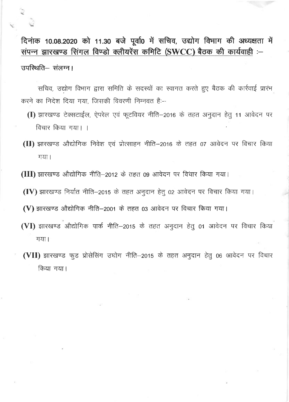दिनांक 10.08.2020 को 11.30 बजे पूर्वा0 में सचिव, उद्योग विभाग की अध्यक्षता में<br>संपन्न झारखण्ड सिंगल विण्डो क्लीयरेंस कमिटि (SWCC) बैठक की कार्यवाही :-उपस्थिति-संलग्न।

सचिव, उद्योग विभाग द्वारा समिति के सदस्यों का स्वागत करते हुए बैठक की कार्रवाई प्रारंभ  $p$ करने का निदेश दिया गया. जिसकी विवरणी निम्नवत है:

- (I) झारखण्ड टेक्सटाईल, ऐपरेल एवं फूटवियर नीति-2016 के तहत अनुदान हेतु 11 आवेदन पर  $\frac{1}{2}$ विचार किया गया।
- (II) झारखण्ड औद्योगिक निवेश एवं प्रोत्साहन नीति-2016 के तहत 07 आवेदन पर विचार किया गया ।
- (III) झारखण्ड औद्योगिक नीति—2012 के तहत 09 आवेदन पर विचार किया गया।

 $(IV)$  झारखण्ड निर्यात नीति-2015 के तहत अनुदान हेतु 02 आवेदन पर विचार किया गया।

 $\bf{(V)}$  झारखण्ड औद्योगिक नीति—2001 के तहत 03 आवेदन पर विचार किया गया।

- (VI) झारखण्ड औद्योगिक पार्क नीति-2015 के तहत अनुदान हेतु 01 आवेदन पर विचार किया गया।
- (VII) झारखण्ड फुड प्रोसेसिंग उघोग नीति-2015 के तहत अनुदान हेतु 06 आवेदन पर विचार किया गया।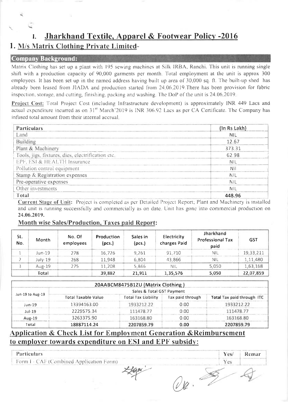#### Jharkhand Textile, Apparel & Footwear Policy -2016 L

### 1. M/s Matrix Clothing Private Limited-

#### **Company Background:**

Matrix Clothing has set up a plant with 195 sewing machines at Silk IRBA, Ranchi. This unit is running single shift with a production capacity of 90,000 garments per month. Total employment at the unit is approx 300 employees. It has been set up in the named address having built up area of 30,000 sq. ft. The built-up shed has already been leased from JIADA and production started from 24.06.2019. There has been provision for fabric inspection, storage, and cutting, finishing, packing and washing. The DoP of the unit is 24.06.2019.

Project Cost: Total Project Cost (including Infrastructure development) is approximately INR 449 Lacs and actual expenditure incurred as on 31<sup>st</sup> March'2019 is INR 306.92 Lacs as per CA Certificate. The Company has infused total amount from their internal accrual.

| <b>Particulars</b>                                | (In Rs Lakh) |
|---------------------------------------------------|--------------|
| Land                                              | <b>NIL</b>   |
| Building                                          | 12.67        |
| Plant & Machinery                                 | 373.31       |
| Tools, jigs, fixtures, dies, electrification etc. | 62.98        |
| EPF, ESI & HEALTH Insurance                       | nil          |
| Pollution control equipment                       | -Nil         |
| Stamp & Registration expenses                     | <b>NIL</b>   |
| Pre-operative expenses                            | <b>NIL</b>   |
| Other investments                                 | <b>NIL</b>   |
| Total                                             | 448.96       |

Current Stage of Unit: Project is completed as per Detailed Project Report; Plant and Machinery is installed and unit is running successfully and commercially as on date. Unit has gone into commercial production on 24.06.2019.

#### **Month wise Sales/Production, Taxes paid Report:**

| SL.<br>No. | <b>Month</b> | No. Of<br>employees | Production<br>(pcs.) | Sales in<br>(pcs.) | <b>Electricity</b><br>charges Paid | <b>Jharkhand</b><br><b>Professional Tax</b><br>paid | <b>GST</b> |
|------------|--------------|---------------------|----------------------|--------------------|------------------------------------|-----------------------------------------------------|------------|
|            | Jun-19       | 278                 | 16,726               | 9,261              | 91,710                             | <b>NIL</b>                                          | 19,33,211  |
|            | July-19      | 268                 | 11,948               | 6,804              | 43.866                             | <b>NIL</b>                                          | 1,11,480   |
|            | Aug-19       | 275                 | 11,208               | 5,846              | <b>NIL</b>                         | 5,050                                               | 1,63,168   |
|            | Total        |                     | 39,882               | 21,911             | 1,35,576                           | 5,050                                               | 22,07,859  |

|                           |                            | 20AABCM8475B1ZU (Matrix Clothing) |                  |                            |  |  |  |  |  |  |  |
|---------------------------|----------------------------|-----------------------------------|------------------|----------------------------|--|--|--|--|--|--|--|
| Sales & Total GST Payment |                            |                                   |                  |                            |  |  |  |  |  |  |  |
| Jun-19 to Aug-19          | <b>Total Taxable Value</b> | <b>Total Tax Liability</b>        | Tax paid through | Total Tax paid through ITC |  |  |  |  |  |  |  |
| Jun-19                    | 13394163.00                | 1933212.22                        | 0.00             | 1933212.22                 |  |  |  |  |  |  |  |
| $J$ ul-19                 | 2229575.34                 | 111478.77                         | 0.00             | 111478.77                  |  |  |  |  |  |  |  |
| Aug-19                    | 3263375.90                 | 163168.80                         | 0.00             | 163168.80                  |  |  |  |  |  |  |  |
| Total                     | 18887114.24                | 2207859.79                        | 0.00             | 2207859.79                 |  |  |  |  |  |  |  |

#### **Application & Check List for Employment Generation & Reimbursement** to employer towards expenditure on ESI and EPF subsidy:

| Particulars                              | Yes/ | Remar |
|------------------------------------------|------|-------|
| Form I - CAF (Combined Application Form) |      |       |
|                                          |      |       |
|                                          |      |       |
|                                          |      |       |
|                                          |      |       |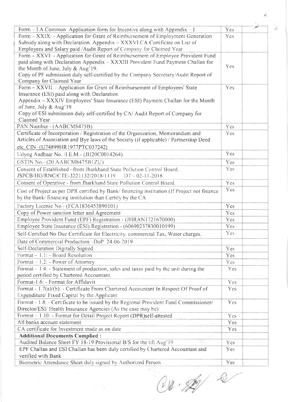| Form $-1$ A Common Application form for Incentive along with Appendix $-1$                 | Yes.            |  |
|--------------------------------------------------------------------------------------------|-----------------|--|
| Form - XXIX: - Application for Grant of Reimbursement of Employment Generation             | Yes             |  |
| Subsidy along with Declaration. Appendix - XXXVI CA Certificate on List of                 |                 |  |
| Employees and Salary paid /Audit Report of Company for Claimed Year                        |                 |  |
| Form - XXVI: - Application for Grant of Reimbursement of Employee Provident Fund           |                 |  |
| paid along with Declaration Appendix - XXXIII Provident Fund Payment Challan for           |                 |  |
| the Month of June, July & Aug'19.                                                          | Yes             |  |
| Copy of PF submission duly self-certified by the Company Secretary/Audit Report of         |                 |  |
| Company for Claimed Year                                                                   |                 |  |
| Form - XXVII: - Application for Grant of Reimbursement of Employees' State                 | Yes             |  |
| Insurance (ESI) paid along with Declaration                                                |                 |  |
| Appendix - XXXIV Employees' State Insurance (ESI) Payment Challan for the Month            |                 |  |
| of June, July & Aug'19                                                                     |                 |  |
| Copy of ESI submission duly self-certified by CA/Audit Report of Company for               |                 |  |
| Claimed Year                                                                               |                 |  |
| PAN Number - (AABCM8475B)                                                                  | Yes             |  |
| Certificate of Incorporation / Registration of the Organization, Memorandum and            | Yes             |  |
| Articles of Association and Bye laws of the Society (if applicable) / Partnership Deed     |                 |  |
| etc. CIN- (U74899HR1977PTC037242)                                                          |                 |  |
| Udyog Aadhaar No. /I.E.M.- (JH20C0014264)                                                  | Yes             |  |
| GSTIN No.- (20 AABCM8475B1ZU)                                                              | Yes             |  |
| Consent of Established -from Jharkhand State Pollution Control Board,                      | Yes             |  |
| JSPCB/HO/RNC/CTE-3221132/2018/1119<br>$DT: -02-11-2018$                                    |                 |  |
| Consent of Operative - from Jharkhand State Pollution Control Board.                       | Yes             |  |
| Cost of Project as per DPR certified by Bank/financing institution (If Project not finance | Yes             |  |
| by the Bank/ financing institution than Certify by the CA                                  |                 |  |
| Factory License No - (FCA1836453890101)                                                    | Yes             |  |
| Copy of Power sanction letter and Agreement                                                | <b>Yes</b>      |  |
| Employee Provident Fund (EPF) Registration - (JHRAN1721670000)                             | Yes             |  |
| Employee State Insurance (ESI) Registration - (60690237830010199)                          | Yes             |  |
| Self-Certified No Due Certificate for Electricity, commercial Tax, Water charges,          | Yes <sup></sup> |  |
|                                                                                            |                 |  |
| Date of Commercial Production -DoP 24-06-2019                                              |                 |  |
| Self-Declaration Digitally Signed                                                          | Yes             |  |
| Format - 1.1: - Board Resolution                                                           | Yes             |  |
| Format - 1.2: - Power of Attorney                                                          | Yes             |  |
| Format $-1.4$ : $-$ Statement of production, sales and taxes paid by the unit during the   | <b>Yes</b>      |  |
| period certified by Chartered Accountant.                                                  |                 |  |
| Format-1.6: - Format for Affidavit                                                         | <b>Yes</b>      |  |
| Format - 1.7(a)/(b): - Certificate From Chartered Accountant In Respect Of Proof of        | Yes             |  |
| Expenditure/ Fixed Capital by the Applicant                                                |                 |  |
| Format - 1.8: - Certificate to be issued by the Regional Provident Fund Commissioner/      | Yes             |  |
| Director/ESI/ Health Insurance Agencies (As the case may be)                               |                 |  |
| Format - 1.10: - Format for Detail Project Report (DPR)self-attested                       | Yes             |  |
| All banks account statement                                                                | Yes             |  |
| CA certificate for Investment made as on date                                              | Yes.            |  |
| <b>Additional Documents Complied:</b>                                                      |                 |  |
| Audited Balance Sheet FY 18-19 Provisional B/S for the till Aug'19                         | <b>Yes</b>      |  |
| EPF Challan and ESI Challan has been duly certified by Chartered Accountant and            | <b>Yes</b>      |  |
| verified with Bank                                                                         |                 |  |
| Biometric Attendance Sheet duly signed by Authorized Person                                | Yes             |  |

 $04.262$ 

 $\overline{\epsilon}$ 

 $\overline{\mathcal{L}}$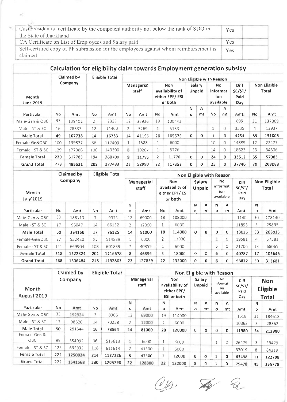| Caste/residential certificate by the competent authority not below the rank of SDO in | <b>Yes</b> |  |
|---------------------------------------------------------------------------------------|------------|--|
| the State of Jharkhand                                                                |            |  |
| CA Certificate on List of Employees and Salary paid                                   | <b>Yes</b> |  |
| Self-certified copy of PF submission for the employees against whom reimbursement is  | <b>Yes</b> |  |
| claimed                                                                               |            |  |

### Calculation for eligibility claim towards Employment generation subsidy

|                           |         | Claimed by | Eligible Total |        | Non Eligible with Reason |       |                                                     |        |                  |         |                                      |          |                               |                              |        |  |
|---------------------------|---------|------------|----------------|--------|--------------------------|-------|-----------------------------------------------------|--------|------------------|---------|--------------------------------------|----------|-------------------------------|------------------------------|--------|--|
| <b>Month</b><br>June'2019 | Company |            |                |        | Managerial<br>staff      |       | Non<br>availability of<br>either EPF/ESI<br>or both |        | Salary<br>Unpaid |         | No.<br>informat<br>ion.<br>available |          | Diff<br>SC/ST/<br>Paid<br>Day | Non Eligible<br><b>Total</b> |        |  |
| Particular                | No.     | Amt        | No.            | Amt    | No.                      | Amt   | No.                                                 | Amt    | N<br>o           | A<br>mt | No.                                  | А<br>mt  | Amt.                          | <b>No</b>                    | Amt    |  |
| Male-Gen & OBC            | 33      | 139401     | $\mathbf{2}$   | 2333   | 12                       | 35926 | 19                                                  | 100443 |                  |         |                                      |          | 699                           | 31                           | 137068 |  |
| Male - ST & SC            | 16      | 28337      | 12             | 14400  | 2                        | 5269  | 1.                                                  | 5133   |                  |         | 1                                    | $\theta$ | 3535                          | 4                            | 13937  |  |
| Male Total                | 49      | 167738     | 14             | 16733  | 14                       | 41195 | 20                                                  | 105576 | 0                | 0       | 1                                    | $\bf{0}$ | 4234                          | 35                           | 151005 |  |
| Female-Ge&OBC             | 100     | 139877     | 88             | 117400 |                          | 1588  | $\mathbf{1}$                                        | 6000   |                  |         | 10                                   | 0        | 14889                         | 12                           | 22477  |  |
| Female - ST & SC          | 129     | 177906     | 106            | 143300 | 8                        | 10207 | <b>I</b>                                            | 5776   |                  |         | 14                                   | 0        | 18623                         | 23                           | 34606  |  |
| Female Total              | 229     | 317783     | 194            | 260700 | 9                        | 11795 | $\overline{2}$                                      | 11776  | $\mathbf{0}$     | 0       | 24                                   | 0        | 33512                         | 35                           | 57083  |  |
| <b>Grand Total</b>        | 278     | 485521     | 208            | 277433 | 23                       | 52990 | 22                                                  | 117352 | 0                | 0       | 25                                   | 0        | 37746                         | 70                           | 208088 |  |

| Claimed by<br>Eligible Total     |         |         |     |         |                     |        |                                                     | Non Eligible with Reason |                  |         |                                      |          |                                             |                              |        |  |  |
|----------------------------------|---------|---------|-----|---------|---------------------|--------|-----------------------------------------------------|--------------------------|------------------|---------|--------------------------------------|----------|---------------------------------------------|------------------------------|--------|--|--|
| <b>Month</b><br><b>July'2019</b> | Company |         |     |         | Managerial<br>staff |        | Non<br>availability of<br>either EPF/ESI<br>or both |                          | Salary<br>Unpaid |         | No.<br>informat<br>ion.<br>available |          | <b>Diff</b><br>SC/ST/<br>Paid<br><b>Day</b> | <b>Non Eligible</b><br>Total |        |  |  |
| Particular                       | No.     | Amt     | No  | Amt     | N<br>$\circ$        | Amt    | No                                                  | Amt                      | N<br>$\circ$     | A<br>mt | N<br>$\circ$                         | A<br>m   | Amt.                                        | N<br>$\Omega$                | Amt    |  |  |
| Male-Gen & OBC                   | 33      | 188113  | 3   | 9973    | 12                  | 69000  | 18                                                  | 108000                   |                  |         |                                      |          | 1140                                        | 30                           | 178140 |  |  |
| Male - ST & SC                   | 17      | 96047   | 14  | 66152   | $\overline{2}$      | 12000  | 1                                                   | 6000                     |                  |         |                                      |          | 11895                                       | 3                            | 29895  |  |  |
| Male Total                       | 50      | 284160  | 17  | 76125   | 14                  | 81000  | 19                                                  | 114000                   | $\mathbf 0$      | 0       | $\mathbf{0}$                         | 0        | 13035                                       | 33                           | 208035 |  |  |
| Female-Ge&OBC                    | 97      | 552420  | 93  | 514839  | $\mathbf{1}$        | 6000   | $\overline{2}$                                      | 12000                    |                  |         | 1                                    | $\Omega$ | 19581                                       | 4                            | 37581  |  |  |
| Female - ST & SC                 | 121     | 669904  | 108 | 601839  | 7                   | 40859  |                                                     | 6000                     |                  |         | 5                                    | $\Omega$ | 21206                                       | 13                           | 68065  |  |  |
| Female Total                     | 218     | 1222324 | 201 | 1116678 | 8                   | 46859  | 3                                                   | 18000                    | $\mathbf{O}$     | 0       | 6                                    | 0        | 40787                                       | 17                           | 105646 |  |  |
| <b>Grand Total</b>               | 268     | 1506484 | 218 | 1192803 | 22                  | 127859 | 22                                                  | 132000                   | 0                | 0       | 6                                    | 0        | 53822                                       | 50                           | 313681 |  |  |

|                      |           | Claimed by |                | <b>Eligible Total</b> |              |                     |              | Non Eligible with Reason                                    |               |                  |               |                                    |                               |                   |                                        |
|----------------------|-----------|------------|----------------|-----------------------|--------------|---------------------|--------------|-------------------------------------------------------------|---------------|------------------|---------------|------------------------------------|-------------------------------|-------------------|----------------------------------------|
| Month<br>August'2019 |           | Company    |                |                       |              | Managerial<br>staff |              | Non<br>availability of<br>either EPF/<br><b>ESI or both</b> |               | Salary<br>Unpaid |               | No<br>informati<br>0n<br>available | Diff<br>SC/ST/<br>Paid<br>Day |                   | <b>Non</b><br>Eligible<br><b>Total</b> |
| Particular           | <b>No</b> | Amt        | No.            | Amt                   | N<br>$\circ$ | Amt                 | N<br>$\circ$ | Amt                                                         | N<br>$\Omega$ | А<br>mt.         | N<br>$\Omega$ | A<br>mt                            | Amt.                          | N<br>$\mathbf{o}$ | Amt                                    |
| Male-Gen & OBC       | 33        | 192924     | $\overline{2}$ | 8306                  | 12           | 69000               | 19           | 114000                                                      |               |                  |               |                                    | 1618                          | 31                | 184618                                 |
| Male - ST & SC       | 17        | 98620      | 14             | 70258                 | 2            | 12000               |              | 6000                                                        |               |                  |               |                                    | 10362                         | 3                 | 28362                                  |
| Male Total           | 50        | 291544     | 16             | 78564                 | 14           | 81000               | 20           | 120000                                                      | $\mathbf 0$   | $\bf{0}$         | 0             | 0                                  | 11980                         | 34                | 212980                                 |
| Female-Gen &<br>OBC. | 99        | 554092     | 96             | 515613                | 1            | 6000                |              | 6000                                                        |               |                  | 1             | $\bigcirc$                         | 26479                         | 3                 | 38479                                  |
| Female - ST & SC     | 126       | 695932     | 118            | 611613                | 7            | 41300               |              | 6000                                                        |               |                  |               |                                    | 37019                         | 8                 | 84319                                  |
| Female Total         | 225       | 1250024    | 214            | 1127226               | 8            | 47300               | $\mathbf{Z}$ | 12000                                                       | $\Omega$      | $\Omega$         | 1             | 0                                  | 63498                         | 11                | 122798                                 |
| <b>Grand Total</b>   | 275       | 1541568    | 230            | 1205790               | 22           | 128300              | 22           | 132000                                                      | 0             | $\Omega$         |               | 0                                  | 75478                         | 45                | 335778                                 |

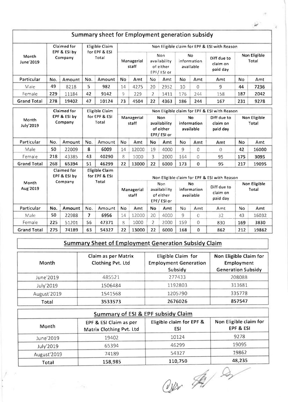|                           |                         |                                    |                        | Summary sheet for Employment generation subsidy |                     |                     |                |                                                       |                                |                                       |                                              |                              |                       |  |
|---------------------------|-------------------------|------------------------------------|------------------------|-------------------------------------------------|---------------------|---------------------|----------------|-------------------------------------------------------|--------------------------------|---------------------------------------|----------------------------------------------|------------------------------|-----------------------|--|
|                           |                         | Claimed for                        |                        | Eligible Claim                                  |                     |                     |                |                                                       |                                |                                       | Non Eligible claim for EPF & ESI with Reason |                              |                       |  |
| Month<br>June 2019        |                         | EPF & ESI by<br>Company            |                        | for EPF & ESI<br>Total                          | Managerial<br>staff |                     |                | <b>Non</b><br>availability<br>of either<br>EPF/ESI or | No<br>information<br>available |                                       | Diff due to<br>claim on<br>paid day          |                              | Non Eligible<br>Total |  |
| Particular                | No.                     | Amount                             | No.                    | Amount                                          | <b>No</b>           | Amt                 | No             | Amt                                                   | No                             | Amt                                   | Amt                                          | No                           | Amt                   |  |
| Male                      | 49                      | 8218                               | 5                      | 982                                             | 14                  | 4275                | 20             | 2952                                                  | 10                             | 0                                     | 9                                            | 44                           | 7236                  |  |
| Female                    | 229                     | 11184                              | 42                     | 9142                                            | 9                   | 229                 | $\overline{2}$ | 1411                                                  | 176                            | 244                                   | 158                                          | 187                          | 2042                  |  |
| <b>Grand Total</b>        | 278                     | 19402                              | 47                     | 10124                                           | 23                  | 4504                | 22             | 4363                                                  | 186                            | 244                                   | 167                                          | 231                          | 9278                  |  |
|                           |                         | <b>Claimed for</b>                 |                        | Eligible Claim                                  |                     |                     |                |                                                       |                                |                                       | Non Eligible claim for EPF & ESI with Reason |                              |                       |  |
| Month<br><b>July'2019</b> | EPF & ESI by<br>Company |                                    | for EPF & ESI<br>Total |                                                 | Managerial<br>staff |                     |                | Non<br>availability<br>of either<br>EPF/ESI or        |                                | <b>No</b><br>information<br>available | Diff due to<br>claim on<br>paid day          | <b>Non Eligible</b><br>Total |                       |  |
| Particular                | No.                     | Amount                             | No.                    | Amount                                          | <b>No</b>           | Amt                 | <b>No</b>      | Amt                                                   | <b>No</b>                      | Amt                                   | Amt                                          | No                           | Amt                   |  |
| Male                      | 50                      | 22009                              | 8                      | 6009                                            | 14                  | 12000               | 19             | 4000                                                  | $\mathsf{q}$                   | 0                                     | $\Omega$                                     | 42                           | 16000                 |  |
| Female                    | 218                     | 43385                              | 43                     | 40290                                           | 8                   | 1000                | 3              | 2000                                                  | 164                            | 0                                     | 95                                           | 175                          | 3095                  |  |
| <b>Grand Total</b>        | 268                     | 65394                              | 51                     | 46299                                           | 22                  | 13000               | 22             | 6000                                                  | 173                            | $\Omega$                              | 95                                           | 217                          | 19095                 |  |
|                           |                         | <b>Claimed for</b><br>EPF & ESI by |                        | <b>Eligible Claim</b><br>for EPF & ESI          |                     |                     |                |                                                       |                                |                                       | Non Eligible claim for EPF & ESI with Reason |                              |                       |  |
| Month<br>Aug'2019         |                         | Company                            |                        | <b>Total</b>                                    |                     | Managerial<br>staff |                | Non<br>availability<br>of either<br>EPF/ESI or        |                                | No<br>information<br>available        | Diff due to<br>claim on<br>paid day          |                              | Non Eligible<br>Total |  |
| Particular                | No.                     | <b>Amount</b>                      | No.                    | Amount                                          | <b>No</b>           | Amt                 | Nο             | Amt                                                   | No                             | Amt                                   | Amt                                          | No                           | Amt                   |  |
| Male                      | 50                      | 22988                              | 7                      | 6956                                            | 14                  | 12000               | 20             | 4000                                                  | 9                              | $\Omega$                              | 32                                           | 43                           | 16032                 |  |
| Female                    | 225                     | 51201                              | 56                     | 47371                                           | 8                   | 1000                | $\overline{2}$ | 2000                                                  | 159                            | $\theta$                              | 830                                          | 169                          | 3830                  |  |
| <b>Grand Total</b>        | 275                     | 74189                              | 63                     | 54327                                           | 22                  | 13000               | 22             | 6000                                                  | 168                            | 0                                     | 862                                          | 212                          | 19862                 |  |

## Summarv Sheet of Emplovment Generation Subsidy Claim

| Month       | Claim as per Matrix<br>Clothing Pvt. Ltd | Eligible Claim for<br><b>Employment Generation</b> | Non Eligible Claim for<br><b>Employment</b> |
|-------------|------------------------------------------|----------------------------------------------------|---------------------------------------------|
|             |                                          | Subsidy                                            | <b>Generation Subsidy</b>                   |
| June'2019   | 485521                                   | 277433                                             | 208088                                      |
| July'2019   | 1506484                                  | 1192803                                            | 313681                                      |
| August'2019 | 1541568                                  | 1205790                                            | 335778                                      |
| Total       | 3533573                                  | 2676026                                            | 857547                                      |

|              | <b>Summary of ESI &amp; EPF subsidy Claim</b>      |                                 |                                     |  |  |  |  |  |  |  |  |
|--------------|----------------------------------------------------|---------------------------------|-------------------------------------|--|--|--|--|--|--|--|--|
| <b>Month</b> | EPF & ESI Claim as per<br>Matrix Clothing Pvt. Ltd | Eligible claim for EPF &<br>ESI | Non Eligible claim for<br>EPF & ESI |  |  |  |  |  |  |  |  |
| June'2019    | 19402                                              | 10124                           | 9278                                |  |  |  |  |  |  |  |  |
| July'2019    | 65394                                              | 46299                           | 19095                               |  |  |  |  |  |  |  |  |
| August'2019  | 74189                                              | 54327                           | 19862                               |  |  |  |  |  |  |  |  |
| Total        | 158,985                                            | 110,750                         | 48,235                              |  |  |  |  |  |  |  |  |

&b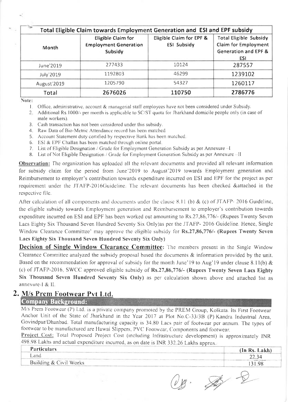| Total Eligible Claim towards Employment Generation and ESI and EPF subsidy |                                                                      |                                                |                                                                                                 |  |  |  |  |
|----------------------------------------------------------------------------|----------------------------------------------------------------------|------------------------------------------------|-------------------------------------------------------------------------------------------------|--|--|--|--|
| Month                                                                      | <b>Eligible Claim for</b><br><b>Employment Generation</b><br>Subsidy | Eligible Claim for EPF &<br><b>ESI Subsidy</b> | <b>Total Eligible Subsidy</b><br>Claim for Employment<br><b>Generation and EPF &amp;</b><br>ESI |  |  |  |  |
| June'2019                                                                  | 277433                                                               | 10124                                          | 287557                                                                                          |  |  |  |  |
| <b>July'2019</b>                                                           | 1192803                                                              | 46299                                          | 1239102                                                                                         |  |  |  |  |
| August'2019                                                                | 1205790                                                              | 54327                                          | 1260117                                                                                         |  |  |  |  |
| Total                                                                      | 2676026                                                              | 110750                                         | 2786776                                                                                         |  |  |  |  |

Note:

- 1. Office, administrative, account & managerial staff employees have not been considered under Subsidy.
- 2. Additional Rs.1000/- per month is applicable to SC/ST quota for Jharkhand domicile people only (in case of male workers).
- 3. Cash transaction has not been considered under this subsidy.
- 4. Raw Data of Bio-Metric Attendance record has been matched
- 5. Account Statement duty certified by respective Bank has been matched.
- 6. ESI & EPF Challan has been matched through online portal.
- 7. List of Eligible Designation / Grade for Employment Generation Subsidy as per Annexure I
- 8. List of Not Eligible Designation / Grade for Employment Generation Subsidy as per Annexure II

**Observation:** The organization has uploaded all the relevant documents and provided all relevant information for subsidy claim for the period from June'2019 to August'2019 towards Employment generation and Reimbursement to employer's contribution towards expenditure incurred on ESI and EPF for the project as per requirement under the JTAFP-2016Guideline. The relevant documents has been checked &attached in the respective file.

After calculation of all components and documents under the clause 8.11 (b) & (c) of JTAFP- 2016 Guideline, the eligible subsidy towards Employment generation and Reimbursement to employer's contribution towards expenditure incurred on ESI and EPF has been worked out amounting to Rs.27,86,776/- (Rupees Twenty Seven Lacs Eighty Six Thousand Seven Hundred Seventy Six Only)as per the JTAFP- 2016 Guideline. Hence, Single Window Clearance Committee' may approve the eligible subsidy for Rs.27,86,776/- (Rupees Twenty Seven Lacs Eighty Six Thousand Seven Hundred Seventy Six Only)

**Decision of Single Window Clearance Committee:** The members present in the Single Window Clearance Committee analyzed the subsidy proposal based the documents & information provided by the unit. Based on the recommendation for approval of subsidy for the month June'19 to Aug'19 under clause 8.11(b)  $\&$ (c) of JTAFP-2016, SWCC approved eligible subsidy of Rs.27,86,776/- (Rupees Twenty Seven Lacs Eighty Six Thousand Seven Hundred Seventy Six Only) as per calculation shown above and attached list as annexure-I & II.

### 2. M/s Prem Footwear Pvt Ltd.

Company Background:

M/s Prem Footwear (P) Ltd. is a private company promoted by the PREM Group, Kolkata. Its First Footwear Anchor Unit of the State of Jharkhand in the Year 2017 at Plot No.C-33/3B (P) Kandra Industrial Area, Govindpur/Dhanbad. Total manufacturing capacity is 34.80 Lacs pair of footwear per annum. The types of footwear to be manufactured are Hawai Slippers, PVC Footwear, Components and footwear.

Project Cost: Total Proposed Project Cost (including Infrastructure development) is approximately INR 498.98 Lakhs and actual expenditure incurred, as on date is INR 332.26 Lakhs approx.

| <b>Particulars</b>     | (In Rs. Lakh) |
|------------------------|---------------|
| Land                   | 22.34         |
| Building & Civil Works | 131.98        |

\$ 2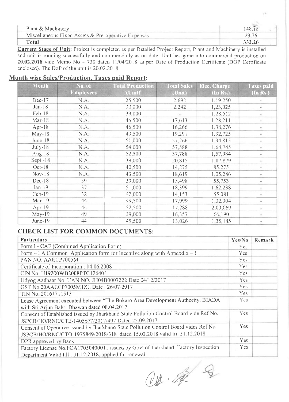| Plant & Machinery                                   |        |  |  |
|-----------------------------------------------------|--------|--|--|
| Miscellaneous Fixed Assets & Pre-operative Expenses | 29.76  |  |  |
| Total                                               | 332.26 |  |  |

Current Stage of Unit: Project is completed as per Detailed Project Report, Plant and Machinery is installed and unit is running successfully and commercially as on date. Unit has gone into commercial production on 20.02.2018 vide Memo No  $-730$  dated 11/04/2018 as per Date of Production Certificate (DOP Certificate enclosed). The DoP of the unit is 20.02.2018.

#### Month wise Sales/Production, Taxes paid Report:

| <b>Month</b> | No. of<br><b>Employees</b> | <b>Total Production</b><br>(Unit) | <b>Total Sales</b><br>(Unit) | <b>Elec. Charge</b><br>(In Rs.) | <b>Taxes paid</b><br>(In Rs.) |
|--------------|----------------------------|-----------------------------------|------------------------------|---------------------------------|-------------------------------|
| $Dec-17$     | N.A.                       | 25,500                            | 2,692                        | 1,19,250                        |                               |
| $Jan-18$     | N.A.                       | 30,000                            | 2,242                        | 1,23,025                        |                               |
| Feb-18       | N.A.                       | 39,000                            |                              | 1,28,512                        |                               |
| $Mar-18$     | N.A.                       | 46,500                            | 17,613                       | 1,28,211                        | $\sim$                        |
| Apr-18       | $N_{\ast}A_{\ast}$         | 46,500                            | 16,266                       | 1,38,276                        |                               |
| $May-18$     | N.A.                       | 49,500                            | 19,291                       | 1,32,725                        |                               |
| June- $18$   | N.A.                       | 51,000                            | 57,266                       | 1,34,815                        | ۳.                            |
| $July-18$    | N.A.                       | 54,000                            | 57,588                       | 1,64,745                        | $\equiv$                      |
| Aug-18       | N.A.                       | 52,500                            | 37,788                       | 1,57,984                        | $\equiv$                      |
| Sept $-18$   | $N.A_{+}$                  | 39,000                            | 20,815                       | 1,07,879                        |                               |
| $Oct-18$     | N.A.                       | 40,500                            | 14,275                       | 85,275                          | ×.                            |
| $Nov-18$     | N.A.                       | 43,500                            | 18,619                       | 1,05,286                        |                               |
| $Dec-18$     | 39                         | 39,000                            | 15,498                       | 55,753                          |                               |
| $Jan-19$     | 37                         | 51,000                            | 18,399                       | 1,62,238                        |                               |
| Feb-19       | 32                         | 42,000                            | 14,153                       | 55,081                          |                               |
| $Mar-19$     | 44                         | 49,500                            | 17,999                       | 1,32,304                        | $\sim$                        |
| Apr-19       | 44                         | 52,500                            | 17,288                       | 2,03,069                        |                               |
| $May-19$     | 49                         | 39,000                            | 16.357                       | 66.190                          |                               |
| June-19      | 44                         | 49,500                            | 13,026                       | 1,35,185                        |                               |

#### **CHECK LIST FOR COMMON DOCUMENTS:**

| <b>Particulars</b>                                                                                                                          | Yes/No     | Remark |
|---------------------------------------------------------------------------------------------------------------------------------------------|------------|--------|
| Form I - CAF (Combined Application Form)                                                                                                    | Yes        |        |
| Form $-1$ A Common Application form for Incentive along with Appendix $-1$                                                                  | Yes.       |        |
| PAN NO. AAECP7005M                                                                                                                          | <b>Yes</b> |        |
| Certificate of Incorporation: 04.06.2008                                                                                                    | Yes        |        |
| CIN No. U19200WB2008PTC126404                                                                                                               | Yes.       |        |
| Udyog Aadhaar No. UAN NO. JH04B0007222 Date 04/12/2017                                                                                      | Yes        |        |
| GST No.20AAECP7005M1ZL Date: 26/07/2017                                                                                                     | <b>Yes</b> |        |
| TIN No. 20161711513                                                                                                                         | Yes        |        |
| Lease Agreement executed between "The Bokaro Area Development Authority, BIADA                                                              | Yes:       |        |
| with Sri Arjun Bahri Dhawan dated 08.04.2017                                                                                                |            |        |
| Consent of Established issued by Jharkhand State Pollution Control Board vide Ref No.                                                       | Yes.       |        |
| JSPCB/HO/RNC/CTE-1405677/2017/497 Dated 25.09.2017                                                                                          |            |        |
| Consent of Operative issued by Jharkhand State Pollution Control Board vides Ref No.                                                        | Yes:       |        |
| JSPCB/HO/RNC/CTO-1975849/2018/318 dated 15.02.2018 valid till 31.12.2018                                                                    |            |        |
| DPR approved by Bank                                                                                                                        | <b>Yes</b> |        |
| Factory License No.FCA17050400011 issued by Govt of Jharkhand, Factory Inspection<br>Department Valid till: 31.12.2018, applied for renewal | Yes.       |        |

 $Q\mathbf{B} \cdot \mathbf{A} \begin{pmatrix} 0 \\ 0 \\ 0 \end{pmatrix}$